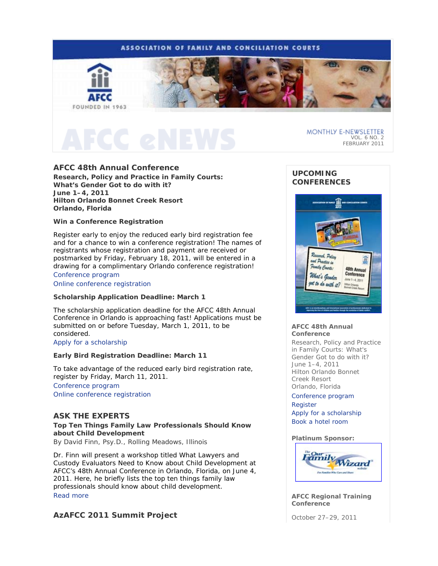# **ASSOCIATION OF FAMILY AND CONCILIATION COURTS**



MONTHLY E-NEWSLETTER VOL. 6 NO. 2 FEBRUARY 2011

# **AFCC 48th Annual Conference**

*Research, Policy and Practice in Family Courts: What's Gender Got to do with it?* **June 1–4, 2011 Hilton Orlando Bonnet Creek Resort Orlando, Florida** 

## **Win a Conference Registration**

Register early to enjoy the reduced early bird registration fee and for a chance to win a conference registration! The names of registrants whose registration and payment are received or postmarked by Friday, February 18, 2011, will be entered in a drawing for a complimentary Orlando conference registration!

# Conference program

Online conference registration

## **Scholarship Application Deadline: March 1**

The scholarship application deadline for the AFCC 48th Annual Conference in Orlando is approaching fast! Applications must be submitted on or before Tuesday, March 1, 2011, to be considered.

## Apply for a scholarship

## **Early Bird Registration Deadline: March 11**

To take advantage of the reduced early bird registration rate, register by Friday, March 11, 2011. Conference program Online conference registration

# **ASK THE EXPERTS**

# **Top Ten Things Family Law Professionals Should Know about Child Development**

*By David Finn, Psy.D., Rolling Meadows, Illinois*

Dr. Finn will present a workshop titled *What Lawyers and Custody Evaluators Need to Know about Child Development* at AFCC's 48th Annual Conference in Orlando, Florida, on June 4, 2011. Here, he briefly lists the top ten things family law professionals should know about child development. Read more

# **AzAFCC 2011 Summit Project**

# **UPCOMING CONFERENCES**



### **AFCC 48th Annual Conference**

*Research, Policy and Practice in Family Courts: What's Gender Got to do with it?*  June 1–4, 2011 Hilton Orlando Bonnet Creek Resort Orlando, Florida

### Conference program

Register

Apply for a scholarship Book a hotel room

## **Platinum Sponsor:**



**AFCC Regional Training Conference** 

October 27–29, 2011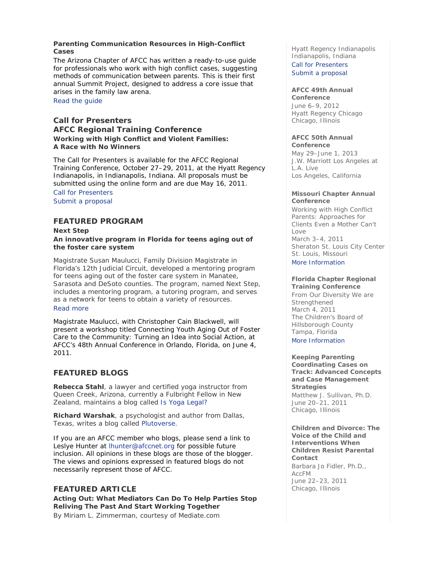## **Parenting Communication Resources in High-Conflict Cases**

The Arizona Chapter of AFCC has written a ready-to-use guide for professionals who work with high conflict cases, suggesting methods of communication between parents. This is their first annual Summit Project, designed to address a core issue that arises in the family law arena.

# Read the guide

# **Call for Presenters AFCC Regional Training Conference** *Working with High Conflict and Violent Families: A Race with No Winners*

The Call for Presenters is available for the AFCC Regional Training Conference, October 27–29, 2011, at the Hyatt Regency Indianapolis, in Indianapolis, Indiana. All proposals must be submitted using the online form and are due May 16, 2011. Call for Presenters

# Submit a proposal

# **FEATURED PROGRAM**

*Next Step*  **An innovative program in Florida for teens aging out of the foster care system** 

Magistrate Susan Maulucci, Family Division Magistrate in Florida's 12th Judicial Circuit, developed a mentoring program for teens aging out of the foster care system in Manatee, Sarasota and DeSoto counties. The program, named *Next Step,*  includes a mentoring program, a tutoring program, and serves as a network for teens to obtain a variety of resources. Read more

*Magistrate Maulucci, with Christopher Cain Blackwell, will present a workshop titled* Connecting Youth Aging Out of Foster Care to the Community: Turning an Idea into Social Action, *at AFCC's 48th Annual Conference in Orlando, Florida, on June 4, 2011.*

# **FEATURED BLOGS**

**Rebecca Stahl**, a lawyer and certified yoga instructor from Queen Creek, Arizona, currently a Fulbright Fellow in New Zealand, maintains a blog called *Is Yoga Legal?*

**Richard Warshak**, a psychologist and author from Dallas, Texas, writes a blog called *Plutoverse*.

If you are an AFCC member who blogs, please send a link to Leslye Hunter at lhunter@afccnet.org for possible future inclusion. All opinions in these blogs are those of the blogger. The views and opinions expressed in featured blogs do not necessarily represent those of AFCC.

# **FEATURED ARTICLE**

**Acting Out: What Mediators Can Do To Help Parties Stop Reliving The Past And Start Working Together** 

*By Miriam L. Zimmerman, courtesy of Mediate.com* 

Hyatt Regency Indianapolis Indianapolis, Indiana

Call for Presenters Submit a proposal

## **AFCC 49th Annual**

**Conference** June 6–9, 2012 Hyatt Regency Chicago Chicago, Illinois

## **AFCC 50th Annual**

**Conference** May 29–June 1, 2013 J.W. Marriott Los Angeles at L.A. Live Los Angeles, California

### **Missouri Chapter Annual Conference**

*Working with High Conflict Parents: Approaches for Clients Even a Mother Can't Love*  March 3–4, 2011 Sheraton St. Louis City Center St. Louis, Missouri More Information

#### **Florida Chapter Regional Training Conference**

*From Our Diversity We are Strengthened* March 4, 2011 The Children's Board of Hillsborough County Tampa, Florida More Information

## **Keeping Parenting**

**Coordinating Cases on Track: Advanced Concepts and Case Management Strategies**  *Matthew J. Sullivan, Ph.D.*

June 20–21, 2011 Chicago, Illinois

**Children and Divorce: The Voice of the Child and Interventions When Children Resist Parental Contact**  *Barbara Jo Fidler, Ph.D., AccFM*

June 22–23, 2011 Chicago, Illinois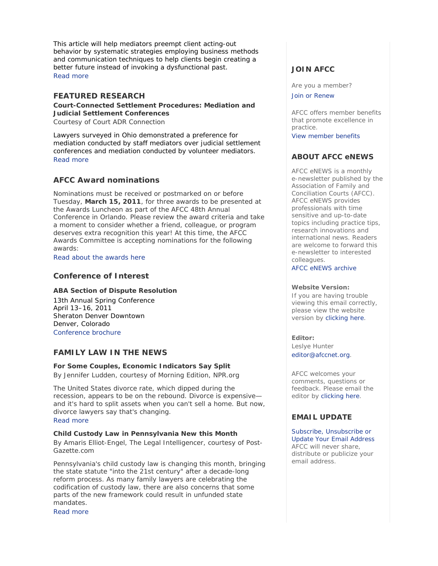This article will help mediators preempt client acting-out behavior by systematic strategies employing business methods and communication techniques to help clients begin creating a better future instead of invoking a dysfunctional past. Read more

# **FEATURED RESEARCH**

**Court-Connected Settlement Procedures: Mediation and Judicial Settlement Conferences**  *Courtesy of Court ADR Connection* 

Lawyers surveyed in Ohio demonstrated a preference for mediation conducted by staff mediators over judicial settlement conferences and mediation conducted by volunteer mediators. Read more

# **AFCC Award nominations**

Nominations must be received or postmarked on or before Tuesday, **March 15, 2011**, for three awards to be presented at the Awards Luncheon as part of the AFCC 48th Annual Conference in Orlando. Please review the award criteria and take a moment to consider whether a friend, colleague, or program deserves extra recognition this year! At this time, the AFCC Awards Committee is accepting nominations for the following awards:

Read about the awards here

# **Conference of Interest**

## **ABA Section of Dispute Resolution**

13th Annual Spring Conference April 13–16, 2011 Sheraton Denver Downtown Denver, Colorado Conference brochure

# **FAMILY LAW IN THE NEWS**

# **For Some Couples, Economic Indicators Say Split**

*By Jennifer Ludden, courtesy of Morning Edition, NPR.org* 

The United States divorce rate, which dipped during the recession, appears to be on the rebound. Divorce is expensive and it's hard to split assets when you can't sell a home. But now, divorce lawyers say that's changing.

Read more

## **Child Custody Law in Pennsylvania New this Month**

*By Amaris Elliot-Engel, The Legal Intelligencer, courtesy of Post-Gazette.com* 

Pennsylvania's child custody law is changing this month, bringing the state statute "into the 21st century" after a decade-long reform process. As many family lawyers are celebrating the codification of custody law, there are also concerns that some parts of the new framework could result in unfunded state mandates.

Read more

# **JOIN AFCC**

Are you a member? Join or Renew

AFCC offers member benefits that promote excellence in practice. View member benefits

**ABOUT AFCC eNEWS**

*AFCC eNEWS* is a monthly e-newsletter published by the Association of Family and Conciliation Courts (AFCC). *AFCC eNEWS* provides professionals with time sensitive and up-to-date topics including practice tips, research innovations and international news. Readers are welcome to forward this e-newsletter to interested colleagues.

AFCC eNEWS archive

## **Website Version:**

If you are having trouble viewing this email correctly, please view the website version by clicking here.

### **Editor:**

Leslye Hunter editor@afccnet.org.

AFCC welcomes your comments, questions or feedback. Please email the editor by clicking here.

# **EMAIL UPDATE**

Subscribe, Unsubscribe or Update Your Email Address AFCC will never share, distribute or publicize your email address.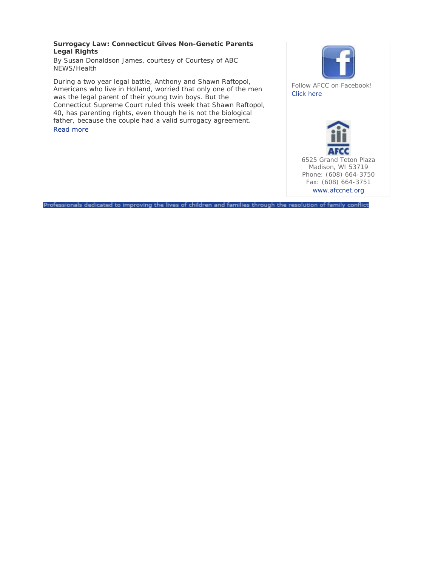# **Surrogacy Law: Connecticut Gives Non-Genetic Parents Legal Rights**

*By Susan Donaldson James, courtesy of Courtesy of ABC NEWS/Health* 

During a two year legal battle, Anthony and Shawn Raftopol, Americans who live in Holland, worried that only one of the men was the legal parent of their young twin boys. But the Connecticut Supreme Court ruled this week that Shawn Raftopol, 40, has parenting rights, even though he is not the biological father, because the couple had a valid surrogacy agreement. Read more



Follow AFCC on Facebook! Click here



Professionals dedicated to improving the lives of children and families through the resolution of family conflict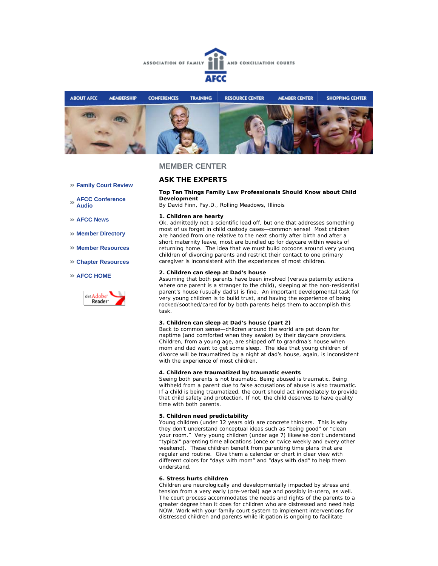



## **MEMBER CENTER**

## **ASK THE EXPERTS**

#### **Top Ten Things Family Law Professionals Should Know about Child Development**

*By David Finn, Psy.D., Rolling Meadows, Illinois*

#### **1. Children are hearty**

Ok, admittedly not a scientific lead off, but one that addresses something most of us forget in child custody cases—common sense! Most children are handed from one relative to the next shortly after birth and after a short maternity leave, most are bundled up for daycare within weeks of returning home. The idea that we must build cocoons around very young children of divorcing parents and restrict their contact to one primary caregiver is inconsistent with the experiences of most children.

#### **2. Children can sleep at Dad's house**

Assuming that both parents have been involved (versus paternity actions where one parent is a stranger to the child), sleeping at the non-residential parent's house (usually dad's) is fine. An important developmental task for very young children is to build trust, and having the experience of being rocked/soothed/cared for by both parents helps them to accomplish this task.

#### **3. Children can sleep at Dad's house (part 2)**

Back to common sense—children around the world are put down for naptime (and comforted when they awake) by their daycare providers. Children, from a young age, are shipped off to grandma's house when mom and dad want to get some sleep. The idea that young children of divorce will be traumatized by a night at dad's house, again, is inconsistent with the experience of most children.

#### **4. Children are traumatized by traumatic events**

Seeing both parents is not traumatic. Being abused is traumatic. Being withheld from a parent due to false accusations of abuse is also traumatic. If a child is being traumatized, the court should act immediately to provide that child safety and protection. If not, the child deserves to have quality time with both parents.

### **5. Children need predictability**

Young children (under 12 years old) are concrete thinkers. This is why they don't understand conceptual ideas such as "being good" or "clean your room." Very young children (under age 7) likewise don't understand "typical" parenting time allocations (once or twice weekly and every other weekend). These children benefit from parenting time plans that are regular and routine. Give them a calendar or chart in clear view with different colors for "days with mom" and "days with dad" to help them understand.

#### **6. Stress hurts children**

Children are neurologically and developmentally impacted by stress and tension from a very early (pre-verbal) age and possibly in-utero, as well. The court process accommodates the needs and rights of the parents to a greater degree than it does for children who are distressed and need help NOW. Work with your family court system to implement interventions for distressed children and parents while litigation is ongoing to facilitate

- **Family Court Review**
- **AFCC Conference Audio**
- **AFCC News**
- **Member Directory**
- **Member Resources**
- **Chapter Resources**

#### **AFCC HOME**